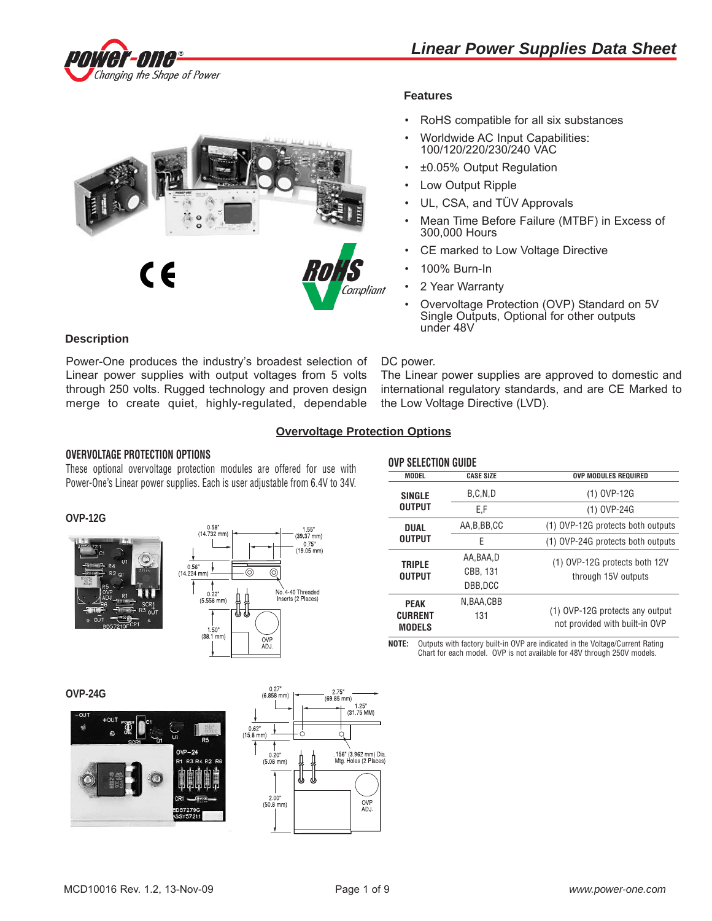



# **Features**

- RoHS compatible for all six substances
- Worldwide AC Input Capabilities: 100/120/220/230/240 VAC
- ±0.05% Output Regulation
- Low Output Ripple
- UL, CSA, and TÜV Approvals
- Mean Time Before Failure (MTBF) in Excess of 300,000 Hours
- CE marked to Low Voltage Directive
- 100% Burn-In
- 2 Year Warranty
- Overvoltage Protection (OVP) Standard on 5V Single Outputs, Optional for other outputs under 48V

# **Description**

Power-One produces the industry's broadest selection of Linear power supplies with output voltages from 5 volts through 250 volts. Rugged technology and proven design merge to create quiet, highly-regulated, dependable

#### DC power.

The Linear power supplies are approved to domestic and international regulatory standards, and are CE Marked to the Low Voltage Directive (LVD).

# **Overvoltage Protection Options**

## **OVERVOLTAGE PROTECTION OPTIONS**

These optional overvoltage protection modules are offered for use with Power-One's Linear power supplies. Each is user adjustable from 6.4V to 34V.

# **OVP-12G**





|                                 | <b>OVP SELECTION GUIDE</b> |                                                                   |  |  |  |  |  |
|---------------------------------|----------------------------|-------------------------------------------------------------------|--|--|--|--|--|
| <b>MODEL</b>                    | <b>CASE SIZE</b>           | <b>OVP MODULES REQUIRED</b>                                       |  |  |  |  |  |
| <b>SINGLE</b>                   | B.C.N.D                    | (1) OVP-12G                                                       |  |  |  |  |  |
| <b>OUTPUT</b>                   | E.F                        | (1) OVP-24G                                                       |  |  |  |  |  |
| <b>DUAL</b>                     | AA, B, BB, CC              | (1) OVP-12G protects both outputs                                 |  |  |  |  |  |
| <b>OUTPUT</b>                   | F                          | (1) OVP-24G protects both outputs                                 |  |  |  |  |  |
| <b>TRIPLE</b>                   | AA.BAA.D                   | (1) OVP-12G protects both 12V                                     |  |  |  |  |  |
| <b>OUTPUT</b>                   | CBB, 131                   | through 15V outputs                                               |  |  |  |  |  |
|                                 | DBB.DCC                    |                                                                   |  |  |  |  |  |
| <b>PEAK</b>                     | N, BAA, CBB                |                                                                   |  |  |  |  |  |
| <b>CURRENT</b><br><b>MODELS</b> | 131                        | (1) OVP-12G protects any output<br>not provided with built-in OVP |  |  |  |  |  |

**NOTE:** Outputs with factory built-in OVP are indicated in the Voltage/Current Rating Chart for each model. OVP is not available for 48V through 250V models.

**OVP-24G**



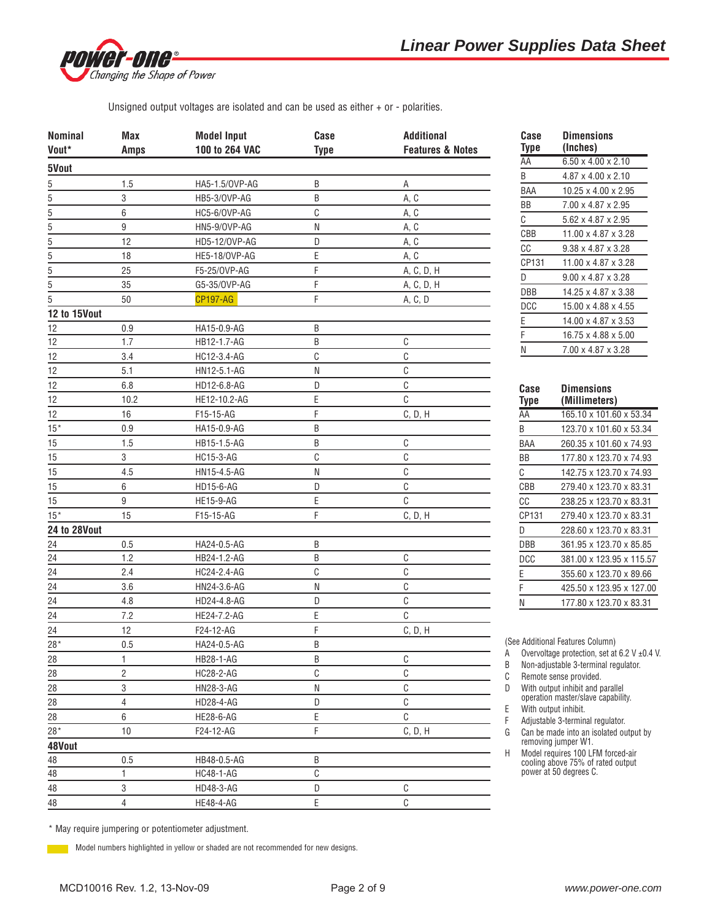

Unsigned output voltages are isolated and can be used as either + or - polarities.

| <b>Nominal</b>                            | Max            | <b>Model Input</b> | Case         | <b>Additional</b>           |
|-------------------------------------------|----------------|--------------------|--------------|-----------------------------|
| Vout*                                     | <b>Amps</b>    | 100 to 264 VAC     | <b>Type</b>  | <b>Features &amp; Notes</b> |
| 5Vout                                     |                |                    |              |                             |
| 5                                         | 1.5            | HA5-1.5/0VP-AG     | B            | Α                           |
| 5                                         | 3              | HB5-3/OVP-AG       | B            | A, C                        |
| $\overline{5}$                            | 6              | HC5-6/OVP-AG       | $\mathbb C$  | A, C                        |
|                                           | 9              | HN5-9/OVP-AG       | N            | A, C                        |
| $\frac{5}{5} - \frac{5}{5} - \frac{5}{5}$ | 12             | HD5-12/0VP-AG      | D            | A, C                        |
|                                           | 18             | HE5-18/OVP-AG      | Ε            | A, C                        |
|                                           | 25             | F5-25/0VP-AG       | F            | A, C, D, H                  |
|                                           | 35             | G5-35/OVP-AG       | F            | A, C, D, H                  |
| $\mathbf 5$                               | 50             | <b>CP197-AG</b>    | F            | A, C, D                     |
| 12 to 15Vout                              |                |                    |              |                             |
| 12                                        | 0.9            | HA15-0.9-AG        | B            |                             |
| 12                                        | 1.7            | HB12-1.7-AG        | B            | C                           |
| 12                                        | 3.4            | HC12-3.4-AG        | $\mathbb{C}$ | C                           |
| 12                                        | 5.1            | HN12-5.1-AG        | N            | $\mathbb{C}$                |
| 12                                        | 6.8            | HD12-6.8-AG        | D            | $\mathbb C$                 |
| 12                                        | 10.2           | HE12-10.2-AG       | E            | C                           |
| 12                                        | 16             | F15-15-AG          | F            | C, D, H                     |
| $15*$                                     | $0.9\,$        | HA15-0.9-AG        | $\sf B$      |                             |
| 15                                        | 1.5            | HB15-1.5-AG        | B            | $\mathbb C$                 |
| 15                                        | 3              | <b>HC15-3-AG</b>   | $\mathbb{C}$ | C                           |
| 15                                        | 4.5            | HN15-4.5-AG        | ${\sf N}$    | $\mathbb{C}$                |
| 15                                        | 6              | HD15-6-AG          | D            | $\mathbb C$                 |
| 15                                        | 9              | <b>HE15-9-AG</b>   | E            | $\mathbb C$                 |
| $15*$                                     | 15             | F15-15-AG          | F            | C, D, H                     |
| <b>24 to 28Vout</b>                       |                |                    |              |                             |
| 24                                        | 0.5            | HA24-0.5-AG        | B            |                             |
| 24                                        | 1.2            | HB24-1.2-AG        | B            | C                           |
| 24                                        | 2.4            | HC24-2.4-AG        | $\mathbb{C}$ | $\mathbb C$                 |
| 24                                        | 3.6            | HN24-3.6-AG        | N            | $\mathbb C$                 |
| 24                                        | 4.8            | HD24-4.8-AG        | D            | C                           |
| 24                                        | 7.2            | HE24-7.2-AG        | E            | $\mathbb C$                 |
| 24                                        | 12             | F24-12-AG          | F            | C, D, H                     |
| $28*$                                     | 0.5            | HA24-0.5-AG        | B            |                             |
| 28                                        | 1              | HB28-1-AG          | $\sf B$      | $\mathbb C$                 |
| 28                                        | $\overline{2}$ | HC28-2-AG          | $\mathbb{C}$ | C                           |
| 28                                        | 3              | HN28-3-AG          | ${\sf N}$    | $\rm{C}$                    |
| 28                                        | $\overline{4}$ | HD28-4-AG          | D            | $\mathbb{C}$                |
|                                           | $\,6\,$        |                    | E            | $\mathbb{C}$                |
| 28<br>$28*$                               | 10             | <b>HE28-6-AG</b>   | F            |                             |
|                                           |                | F24-12-AG          |              | C, D, H                     |
| 48Vout                                    |                |                    |              |                             |
| 48                                        | 0.5            | HB48-0.5-AG        | $\sf B$      |                             |
| 48                                        | $\mathbf{1}$   | <b>HC48-1-AG</b>   | $\mathbb{C}$ |                             |
| 48                                        | 3              | HD48-3-AG          | D            | $\mathbb{C}$                |
| 48                                        | $\overline{4}$ | HE48-4-AG          | E            | C                           |

| Case<br>Type | Dimensions<br>(Inches)          |
|--------------|---------------------------------|
| AA           | $6.50 \times 4.00 \times 2.10$  |
| B            | $4.87 \times 4.00 \times 2.10$  |
| BAA          | $10.25 \times 4.00 \times 2.95$ |
| ΒB           | 7.00 x 4.87 x 2.95              |
| C            | $5.62 \times 4.87 \times 2.95$  |
| CBB          | $11.00 \times 4.87 \times 3.28$ |
| СC           | $9.38 \times 4.87 \times 3.28$  |
| CP131        | 11.00 x 4.87 x 3.28             |
| D            | $9.00 \times 4.87 \times 3.28$  |
| DBB          | 14.25 x 4.87 x 3.38             |
| DCC          | 15.00 x 4.88 x 4.55             |
| Е            | $14.00 \times 4.87 \times 3.53$ |
| F            | 16.75 x 4.88 x 5.00             |
| N            | 7.00 x 4.87 x 3.28              |
|              |                                 |

| Case  | Dimensions               |
|-------|--------------------------|
| Type  | (Millimeters)            |
| AA    | 165.10 x 101.60 x 53.34  |
| R     | 123.70 x 101.60 x 53.34  |
| BAA   | 260.35 x 101.60 x 74.93  |
| ВB    | 177.80 x 123.70 x 74.93  |
| C     | 142.75 x 123.70 x 74.93  |
| CBB   | 279.40 x 123.70 x 83.31  |
| СC    | 238.25 x 123.70 x 83.31  |
| CP131 | 279.40 x 123.70 x 83.31  |
| D     | 228.60 x 123.70 x 83.31  |
| DBB   | 361.95 x 123.70 x 85.85  |
| DCC   | 381.00 x 123.95 x 115.57 |
| Е     | 355.60 x 123.70 x 89.66  |
| F     | 425.50 x 123.95 x 127.00 |
| Ν     | 177.80 x 123.70 x 83.31  |
|       |                          |

(See Additional Features Column)

A Overvoltage protection, set at 6.2 V  $\pm$ 0.4 V.

B Non-adjustable 3-terminal regulator.

C Remote sense provided.

D With output inhibit and parallel operation master/slave capability.

E With output inhibit.

F Adjustable 3-terminal regulator.

G Can be made into an isolated output by removing jumper W1.

H Model requires 100 LFM forced-air cooling above 75% of rated output power at 50 degrees C.

\* May require jumpering or potentiometer adjustment.

Model numbers highlighted in yellow or shaded are not recommended for new designs.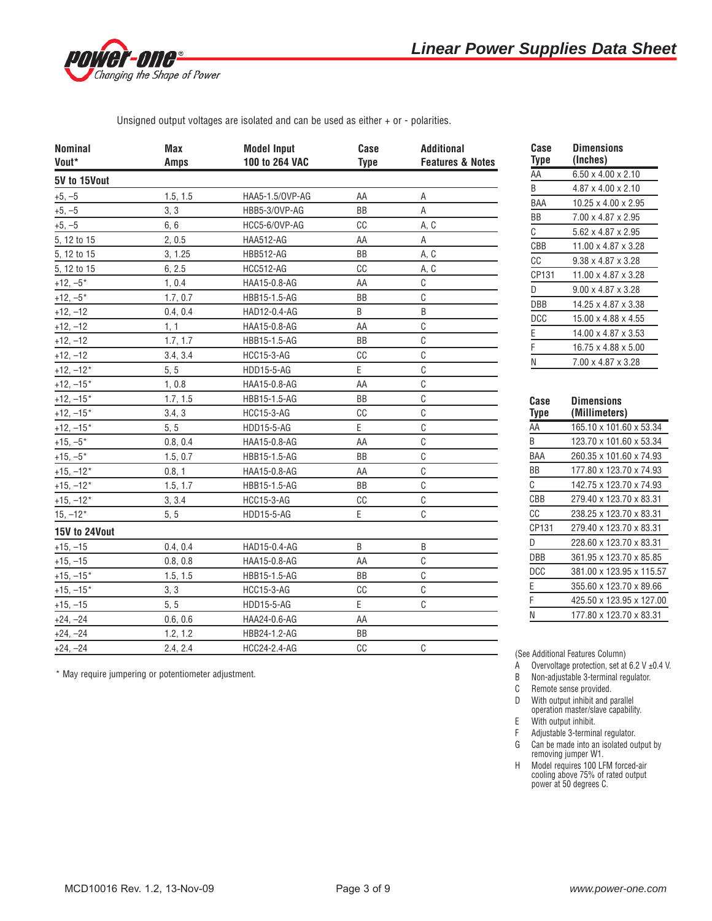

Unsigned output voltages are isolated and can be used as either + or - polarities.

| <b>Nominal</b> | Max         | <b>Model Input</b> | Case        | <b>Additional</b>           |
|----------------|-------------|--------------------|-------------|-----------------------------|
| Vout*          | <b>Amps</b> | 100 to 264 VAC     | <b>Type</b> | <b>Features &amp; Notes</b> |
| 5V to 15Vout   |             |                    |             |                             |
| $+5, -5$       | 1.5, 1.5    | HAA5-1.5/0VP-AG    | AA          | Α                           |
| $+5, -5$       | 3, 3        | HBB5-3/OVP-AG      | BB          | А                           |
| $+5, -5$       | 6, 6        | HCC5-6/OVP-AG      | СC          | A, C                        |
| 5, 12 to 15    | 2, 0.5      | <b>HAA512-AG</b>   | AA          | А                           |
| 5, 12 to 15    | 3, 1.25     | <b>HBB512-AG</b>   | <b>BB</b>   | A, C                        |
| 5, 12 to 15    | 6, 2.5      | <b>HCC512-AG</b>   | CC          | A, C                        |
| $+12, -5$ *    | 1, 0.4      | HAA15-0.8-AG       | AA          | C                           |
| $+12, -5*$     | 1.7, 0.7    | HBB15-1.5-AG       | BB          | C                           |
| $+12, -12$     | 0.4, 0.4    | HAD12-0.4-AG       | B           | B                           |
| $+12, -12$     | 1, 1        | HAA15-0.8-AG       | AA          | C                           |
| $+12, -12$     | 1.7, 1.7    | HBB15-1.5-AG       | ВB          | C                           |
| $+12, -12$     | 3.4, 3.4    | <b>HCC15-3-AG</b>  | CC          | $\mathsf C$                 |
| $+12, -12*$    | 5, 5        | <b>HDD15-5-AG</b>  | E           | C                           |
| $+12, -15*$    | 1, 0.8      | HAA15-0.8-AG       | AA          | C                           |
| $+12, -15*$    | 1.7, 1.5    | HBB15-1.5-AG       | BB          | C                           |
| $+12, -15*$    | 3.4, 3      | <b>HCC15-3-AG</b>  | cc          | C                           |
| $+12, -15*$    | 5, 5        | <b>HDD15-5-AG</b>  | E           | C                           |
| $+15, -5*$     | 0.8, 0.4    | HAA15-0.8-AG       | AA          | C                           |
| $+15, -5*$     | 1.5, 0.7    | HBB15-1.5-AG       | ΒB          | C                           |
| $+15, -12*$    | 0.8, 1      | HAA15-0.8-AG       | AA          | C                           |
| $+15, -12*$    | 1.5, 1.7    | HBB15-1.5-AG       | ΒB          | C                           |
| $+15, -12*$    | 3, 3.4      | <b>HCC15-3-AG</b>  | CC          | $\mathsf C$                 |
| $15, -12*$     | 5.5         | <b>HDD15-5-AG</b>  | E           | C                           |
| 15V to 24Vout  |             |                    |             |                             |
| $+15, -15$     | 0.4, 0.4    | HAD15-0.4-AG       | B           | B                           |
| $+15, -15$     | 0.8, 0.8    | HAA15-0.8-AG       | AA          | C                           |
| $+15, -15*$    | 1.5, 1.5    | HBB15-1.5-AG       | ΒB          | $\mathsf C$                 |
| $+15, -15*$    | 3, 3        | <b>HCC15-3-AG</b>  | CC          | C                           |
| $+15, -15$     | 5, 5        | HDD15-5-AG         | Ε           | C                           |
| $+24, -24$     | 0.6, 0.6    | HAA24-0.6-AG       | AA          |                             |
| $+24, -24$     | 1.2, 1.2    | HBB24-1.2-AG       | BB          |                             |
| $+24, -24$     | 2.4, 2.4    | HCC24-2.4-AG       | CC          | C                           |

| Case  | Dimensions                      |
|-------|---------------------------------|
| Type  | (Inches)                        |
| AA    | $6.50 \times 4.00 \times 2.10$  |
| B     | $4.87 \times 4.00 \times 2.10$  |
| BAA   | $10.25 \times 4.00 \times 2.95$ |
| ВB    | 7.00 x 4.87 x 2.95              |
| C     | 5.62 x 4.87 x 2.95              |
| CBB   | $11.00 \times 4.87 \times 3.28$ |
| СC    | $9.38 \times 4.87 \times 3.28$  |
| CP131 | 11.00 x 4.87 x 3.28             |
| D     | $9.00 \times 4.87 \times 3.28$  |
| DBB   | 14.25 x 4.87 x 3.38             |
| DCC   | $15.00 \times 4.88 \times 4.55$ |
| E     | $14.00 \times 4.87 \times 3.53$ |
| F     | 16.75 x 4.88 x 5.00             |
| Ν     | 7.00 x 4.87 x 3.28              |
|       |                                 |

| Case<br><b>Iype</b> | Dimensions<br>(Millimeters) |
|---------------------|-----------------------------|
| AA                  | 165.10 x 101.60 x 53.34     |
| B                   | 123.70 x 101.60 x 53.34     |
| BAA                 | 260.35 x 101.60 x 74.93     |
| ΒB                  | 177.80 x 123.70 x 74.93     |
| C                   | 142.75 x 123.70 x 74.93     |
| CBB                 | 279.40 x 123.70 x 83.31     |
| СC                  | 238.25 x 123.70 x 83.31     |
| CP131               | 279.40 x 123.70 x 83.31     |
| D                   | 228.60 x 123.70 x 83.31     |
| DBB                 | 361.95 x 123.70 x 85.85     |
| DCC                 | 381.00 x 123.95 x 115.57    |
| Е                   | 355.60 x 123.70 x 89.66     |
| F                   | 425.50 x 123.95 x 127.00    |
| N                   | 177.80 x 123.70 x 83.31     |

\* May require jumpering or potentiometer adjustment.

(See Additional Features Column)

A Overvoltage protection, set at 6.2 V ±0.4 V.

B Non-adjustable 3-terminal regulator.

C Remote sense provided.

D With output inhibit and parallel

operation master/slave capability. E With output inhibit.

F Adjustable 3-terminal regulator.

G Can be made into an isolated output by removing jumper W1.

H Model requires 100 LFM forced-air cooling above 75% of rated output power at 50 degrees C.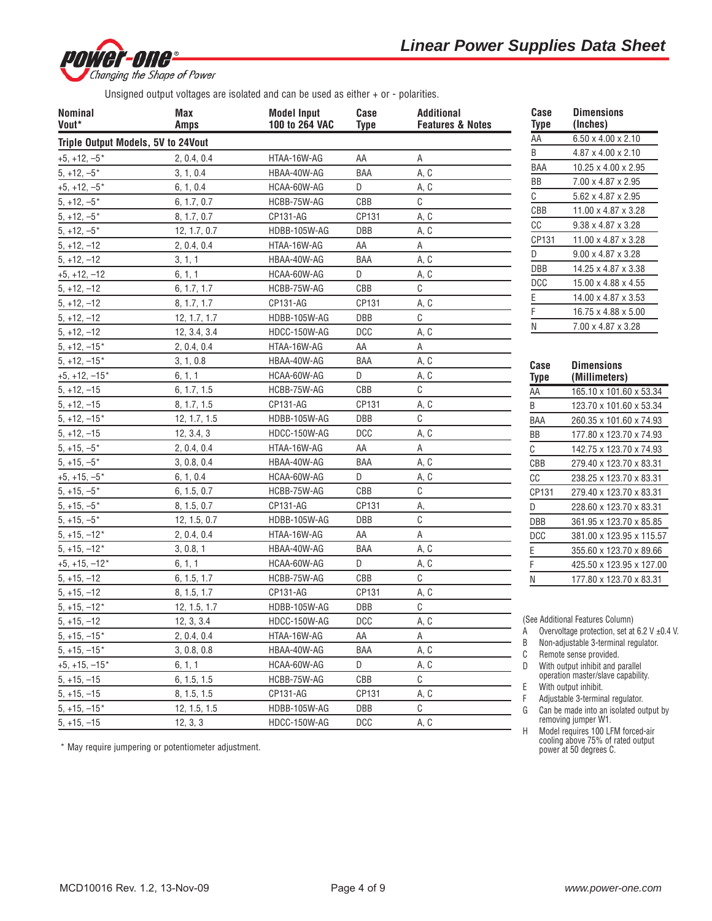

Unsigned output voltages are isolated and can be used as either + or - polarities.

| <b>Nominal</b><br>Vout*            | Max<br><b>Amps</b>         | <b>Model Input</b><br>100 to 264 VAC | Case<br><b>Type</b> | <b>Additional</b><br><b>Features &amp; Notes</b> | Case<br>Type      | <b>Dimensions</b><br>(Inches)                                          |
|------------------------------------|----------------------------|--------------------------------------|---------------------|--------------------------------------------------|-------------------|------------------------------------------------------------------------|
| Triple Output Models, 5V to 24Vout |                            |                                      |                     |                                                  | AA                | $6.50 \times 4.00 \times 2.10$                                         |
| $+5, +12, -5$ *                    | 2, 0.4, 0.4                | HTAA-16W-AG                          | AA                  | Α                                                | B                 | 4.87 x 4.00 x 2.10                                                     |
| $5, +12, -5*$                      | 3, 1, 0.4                  | HBAA-40W-AG                          | <b>BAA</b>          | A, C                                             | BAA               | 10.25 x 4.00 x 2.95                                                    |
| $+5, +12, -5*$                     | 6, 1, 0.4                  | HCAA-60W-AG                          | D                   | A, C                                             | BB                | 7.00 x 4.87 x 2.95                                                     |
| $5, +12, -5$ *                     | 6, 1.7, 0.7                | HCBB-75W-AG                          | CBB                 | C                                                | С                 | 5.62 x 4.87 x 2.95                                                     |
| $5, +12, -5$ *                     | 8, 1.7, 0.7                | CP131-AG                             | CP131               | A, C                                             | CBB               | 11.00 x 4.87 x 3.28                                                    |
| $5, +12, -5*$                      | 12, 1.7, 0.7               | HDBB-105W-AG                         | <b>DBB</b>          | A, C                                             | CC                | $9.38 \times 4.87 \times 3.28$                                         |
| $5, +12, -12$                      | 2, 0.4, 0.4                | HTAA-16W-AG                          | AA                  | Α                                                | CP131             | 11.00 x 4.87 x 3.28                                                    |
| $5, +12, -12$                      | 3, 1, 1                    | HBAA-40W-AG                          | BAA                 | A, C                                             | D                 | $9.00 \times 4.87 \times 3.28$                                         |
| $+5, +12, -12$                     | 6, 1, 1                    | HCAA-60W-AG                          | D                   | A, C                                             | DBB               | 14.25 x 4.87 x 3.38                                                    |
| $5, +12, -12$                      | 6, 1.7, 1.7                | HCBB-75W-AG                          | CBB                 | C                                                | <b>DCC</b>        | 15.00 x 4.88 x 4.55                                                    |
| $5, +12, -12$                      | 8, 1.7, 1.7                | CP131-AG                             | CP131               | A, C                                             | E                 | 14.00 x 4.87 x 3.53                                                    |
| $5, +12, -12$                      | 12, 1.7, 1.7               | HDBB-105W-AG                         | DBB                 | C                                                |                   | 16.75 x 4.88 x 5.00                                                    |
| $5, +12, -12$                      | 12, 3.4, 3.4               | HDCC-150W-AG                         | <b>DCC</b>          | A, C                                             | N                 | 7.00 x 4.87 x 3.28                                                     |
| $5, +12, -15*$                     | 2, 0.4, 0.4                | HTAA-16W-AG                          | AA                  | Α                                                |                   |                                                                        |
| $5, +12, -15*$                     | 3, 1, 0.8                  | HBAA-40W-AG                          | BAA                 | A, C                                             |                   |                                                                        |
| $+5, +12, -15*$                    | 6, 1, 1                    | HCAA-60W-AG                          | D                   | A, C                                             | Case              | <b>Dimensions</b>                                                      |
| $5, +12, -15$                      | 6, 1.7, 1.5                | HCBB-75W-AG                          | CBB                 | C                                                | <b>Type</b><br>AA | (Millimeters)<br>165.10 x 101.60 x 53.34                               |
| $5, +12, -15$                      | 8, 1.7, 1.5                | CP131-AG                             | CP131               | A, C                                             | B                 | 123.70 x 101.60 x 53.34                                                |
| $5, +12, -15*$                     | 12, 1.7, 1.5               | HDBB-105W-AG                         | <b>DBB</b>          | C                                                | BAA               |                                                                        |
| $5, +12, -15$                      | 12, 3.4, 3                 | HDCC-150W-AG                         | <b>DCC</b>          | A, C                                             | BB                | 260.35 x 101.60 x 74.93                                                |
| $5, +15, -5*$                      | 2, 0.4, 0.4                | HTAA-16W-AG                          | AA                  | Α                                                | C                 | 177.80 x 123.70 x 74.93                                                |
| $5, +15, -5$ *                     | 3, 0.8, 0.4                | HBAA-40W-AG                          | BAA                 | A, C                                             |                   | 142.75 x 123.70 x 74.93<br>279.40 x 123.70 x 83.31                     |
| $+5, +15, -5*$                     | 6, 1, 0.4                  | HCAA-60W-AG                          | D                   | A, C                                             | CBB<br>cc         |                                                                        |
| $5, +15, -5$ *                     | 6, 1.5, 0.7                | HCBB-75W-AG                          | CBB                 | С                                                |                   | 238.25 x 123.70 x 83.31                                                |
| $5, +15, -5$ *                     | 8, 1.5, 0.7                | CP131-AG                             | CP131               | А,                                               | CP131             | 279.40 x 123.70 x 83.31                                                |
| $5, +15, -5$ *                     | 12, 1.5, 0.7               | HDBB-105W-AG                         | <b>DBB</b>          | C                                                | D                 | 228.60 x 123.70 x 83.31<br>361.95 x 123.70 x 85.85                     |
| $5, +15, -12*$                     | 2, 0.4, 0.4                | HTAA-16W-AG                          | AA                  | Α                                                | DBB<br><b>DCC</b> |                                                                        |
| $5, +15, -12*$                     | 3, 0.8, 1                  | HBAA-40W-AG                          | BAA                 | A, C                                             | Ε                 | 381.00 x 123.95 x 115.57                                               |
| $+5, +15, -12*$                    | 6, 1, 1                    | HCAA-60W-AG                          | D                   | A, C                                             | F                 | 355.60 x 123.70 x 89.66<br>425.50 x 123.95 x 127.00                    |
| $5, +15, -12$                      | 6, 1.5, 1.7                | HCBB-75W-AG                          | CBB                 | C                                                |                   | 177.80 x 123.70 x 83.31                                                |
| $5, +15, -12$                      | 8, 1.5, 1.7                | CP131-AG                             | CP131               | A, C                                             | N                 |                                                                        |
| $5, +15, -12*$                     | 12, 1.5, 1.7               | HDBB-105W-AG                         | DBB                 | С                                                |                   |                                                                        |
| $5, +15, -12$                      | 12, 3, 3.4                 | HDCC-150W-AG                         | <b>DCC</b>          | A, C                                             |                   | (See Additional Features Column)                                       |
| $5, +15, -15*$                     | 2, 0.4, 0.4                | HTAA-16W-AG                          | AA                  | Α                                                | A                 | Overvoltage protection, set at 6.2 V $\pm$ 0.4 V.                      |
| $5, +15, -15*$                     | 3, 0.8, 0.8                | HBAA-40W-AG                          | BAA                 | A, C                                             | B                 | Non-adjustable 3-terminal regulator.                                   |
| $+5, +15, -15*$                    | 6, 1, 1                    | HCAA-60W-AG                          | D                   | A, C                                             | C                 | Remote sense provided.                                                 |
| $5, +15, -15$                      |                            |                                      | CBB                 | С                                                | D                 | With output inhibit and parallel<br>operation master/slave capability. |
| $5, +15, -15$                      | 6, 1.5, 1.5<br>8, 1.5, 1.5 | HCBB-75W-AG<br>CP131-AG              | CP131               | A, C                                             | Ε                 | With output inhibit.                                                   |
| $5, +15, -15*$                     |                            | HDBB-105W-AG                         | DBB                 | C                                                | F                 | Adjustable 3-terminal regulator.                                       |
|                                    | 12, 1.5, 1.5               |                                      |                     |                                                  | G                 | Can be made into an isolated output by<br>removing jumper W1.          |
| $5, +15, -15$                      | 12, 3, 3                   | HDCC-150W-AG                         | <b>DCC</b>          | A, C                                             | Η                 | Model requires 100 LFM forced-air                                      |

\* May require jumpering or potentiometer adjustment.

cooling above 75% of rated output power at 50 degrees C.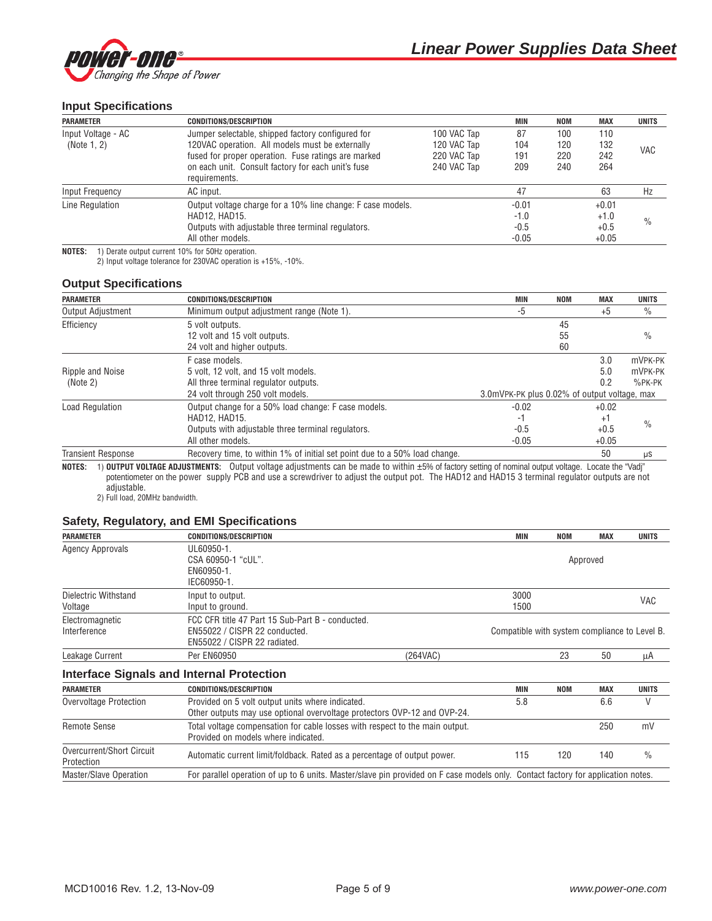

## **Input Specifications**

| <b>PARAMETER</b>   | <b>CONDITIONS/DESCRIPTION</b>                               |             | <b>MIN</b> | <b>NOM</b> | <b>MAX</b> | <b>UNITS</b>  |
|--------------------|-------------------------------------------------------------|-------------|------------|------------|------------|---------------|
| Input Voltage - AC | Jumper selectable, shipped factory configured for           | 100 VAC Tap | 87         | 100        | 110        |               |
| (Note 1, 2)        | 120VAC operation. All models must be externally             | 120 VAC Tap | 104        | 120        | 132        |               |
|                    | fused for proper operation. Fuse ratings are marked         | 220 VAC Tap | 191        | 220        | 242        | <b>VAC</b>    |
|                    | on each unit. Consult factory for each unit's fuse          | 240 VAC Tap | 209        | 240        | 264        |               |
|                    | requirements.                                               |             |            |            |            |               |
| Input Frequency    | AC input.                                                   |             | 47         |            | 63         | Hz            |
| Line Regulation    | Output voltage charge for a 10% line change: F case models. |             | $-0.01$    |            | $+0.01$    |               |
|                    | HAD12, HAD15.                                               |             | $-1.0$     |            | $+1.0$     | $\frac{0}{0}$ |
|                    | Outputs with adjustable three terminal regulators.          |             | $-0.5$     |            | $+0.5$     |               |
|                    | All other models.                                           |             | $-0.05$    |            | $+0.05$    |               |

**NOTES:** 1) Derate output current 10% for 50Hz operation.

2) Input voltage tolerance for 230VAC operation is +15%, -10%.

#### **Output Specifications**

| <b>PARAMETER</b>             | <b>CONDITIONS/DESCRIPTION</b>                                                                                                                          | MIN                                          | <b>NOM</b>     | <b>MAX</b>                         | <b>UNITS</b>                    |
|------------------------------|--------------------------------------------------------------------------------------------------------------------------------------------------------|----------------------------------------------|----------------|------------------------------------|---------------------------------|
| Output Adjustment            | Minimum output adjustment range (Note 1).                                                                                                              | -5                                           |                | $+5$                               | $\frac{0}{0}$                   |
| Efficiency                   | 5 volt outputs.<br>12 volt and 15 volt outputs.<br>24 volt and higher outputs.                                                                         |                                              | 45<br>55<br>60 |                                    | $\frac{0}{0}$                   |
| Ripple and Noise<br>(Note 2) | F case models.<br>5 volt, 12 volt, and 15 volt models.<br>All three terminal regulator outputs.<br>24 volt through 250 volt models.                    | 3.0mVPK-PK plus 0.02% of output voltage, max |                | 3.0<br>5.0<br>0.2                  | mVPK-PK<br>mVPK-PK<br>$%$ PK-PK |
| <b>Load Regulation</b>       | Output change for a 50% load change: F case models.<br><b>HAD12. HAD15.</b><br>Outputs with adjustable three terminal regulators.<br>All other models. | $-0.02$<br>-1<br>$-0.5$<br>$-0.05$           |                | $+0.02$<br>+1<br>$+0.5$<br>$+0.05$ | $\frac{0}{0}$                   |
| <b>Transient Response</b>    | Recovery time, to within 1% of initial set point due to a 50% load change.                                                                             |                                              |                | 50                                 | μS                              |

**NOTES:** 1) **OUTPUT VOLTAGE ADJUSTMENTS:** Output voltage adjustments can be made to within ±5% of factory setting of nominal output voltage. Locate the "Vadj" potentiometer on the power supply PCB and use a screwdriver to adjust the output pot. The HAD12 and HAD15 3 terminal regulator outputs are not adjustable.

2) Full load, 20MHz bandwidth.

#### **Safety, Regulatory, and EMI Specifications**

| <b>PARAMETER</b>        | <b>CONDITIONS/DESCRIPTION</b>                    |          | MIN                                           | <b>NOM</b> | <b>MAX</b> | <b>UNITS</b> |  |
|-------------------------|--------------------------------------------------|----------|-----------------------------------------------|------------|------------|--------------|--|
| <b>Agency Approvals</b> | UL60950-1.                                       |          |                                               |            |            |              |  |
|                         | CSA 60950-1 "cUL".                               |          |                                               |            | Approved   |              |  |
|                         | EN60950-1.                                       |          |                                               |            |            |              |  |
|                         | IEC60950-1.                                      |          |                                               |            |            |              |  |
| Dielectric Withstand    | Input to output.                                 |          | 3000                                          |            |            |              |  |
| Voltage                 | Input to ground.                                 |          | 1500                                          |            |            | VAC          |  |
| Electromagnetic         | FCC CFR title 47 Part 15 Sub-Part B - conducted. |          |                                               |            |            |              |  |
| Interference            | EN55022 / CISPR 22 conducted.                    |          | Compatible with system compliance to Level B. |            |            |              |  |
|                         | EN55022 / CISPR 22 radiated.                     |          |                                               |            |            |              |  |
| Leakage Current         | <b>Per EN60950</b>                               | (264VAC) |                                               | 23         | 50         | μA           |  |
|                         | <b>Interface Signals and Internal Protection</b> |          |                                               |            |            |              |  |

# **PARAMETER CONDITIONS/DESCRIPTION MIN NOM MAX UNITS** Overvoltage Protection **Provided on 5 volt output units where indicated.** 6.6 6 6 6 6 6 V Other outputs may use optional overvoltage protectors OVP-12 and OVP-24. Remote Sense Total voltage compensation for cable losses with respect to the main output. 250 mV Provided on models where indicated. Overcurrent/Short Circuit and Automatic current limit/foldback. Rated as a percentage of output power. 115 120 140 % Protection Master/Slave Operation For parallel operation of up to 6 units. Master/slave pin provided on F case models only. Contact factory for application notes.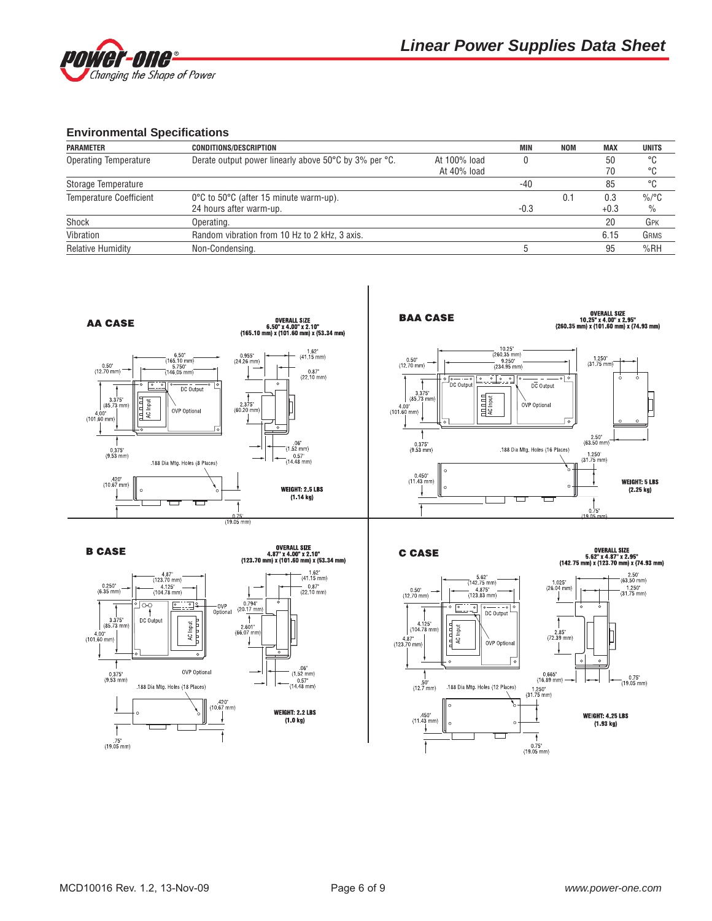

## **Environmental Specifications**

| <b>PARAMETER</b>               | <b>CONDITIONS/DESCRIPTION</b>                         |              | <b>MIN</b> | NOM | MAX    | <b>UNITS</b>  |
|--------------------------------|-------------------------------------------------------|--------------|------------|-----|--------|---------------|
| <b>Operating Temperature</b>   | Derate output power linearly above 50°C by 3% per °C. | At 100% load |            |     | 50     | °C            |
|                                |                                                       | At 40% load  |            |     |        | °C            |
| Storage Temperature            |                                                       |              | $-40$      |     | 85     | °C            |
| <b>Temperature Coefficient</b> | 0°C to 50°C (after 15 minute warm-up).                |              |            | 0.1 | 0.3    | $\%$ /°C      |
|                                | 24 hours after warm-up.                               |              | $-0.3$     |     | $+0.3$ | $\frac{0}{0}$ |
| Shock                          | Operating.                                            |              |            |     | 20     | GPK           |
| Vibration                      | Random vibration from 10 Hz to 2 kHz, 3 axis.         |              |            |     | 6.15   | GRMS          |
| <b>Relative Humidity</b>       | Non-Condensing.                                       |              |            |     | 95     | %RH           |

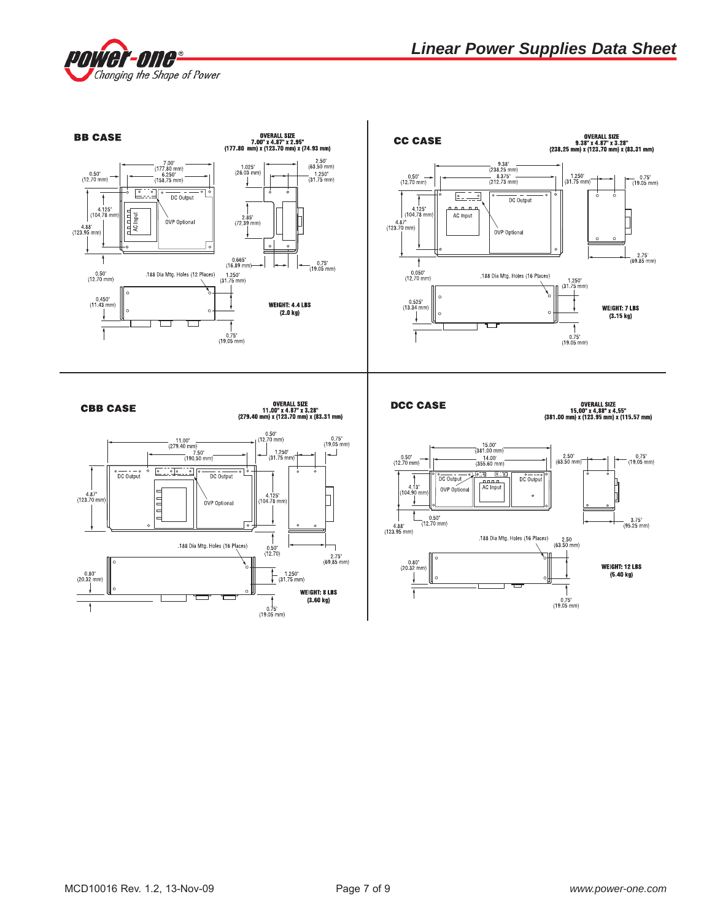

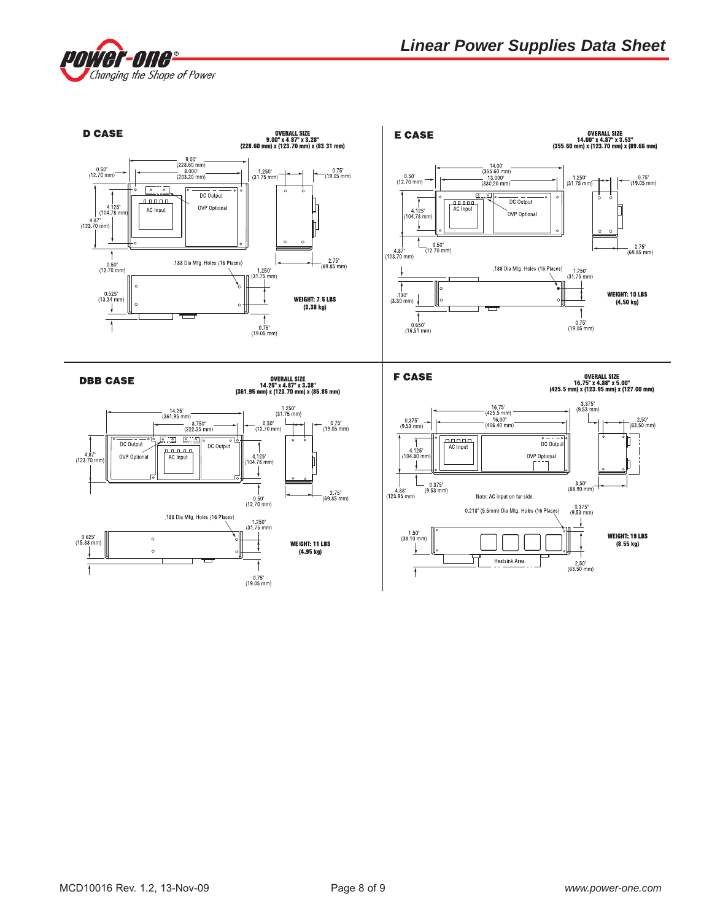